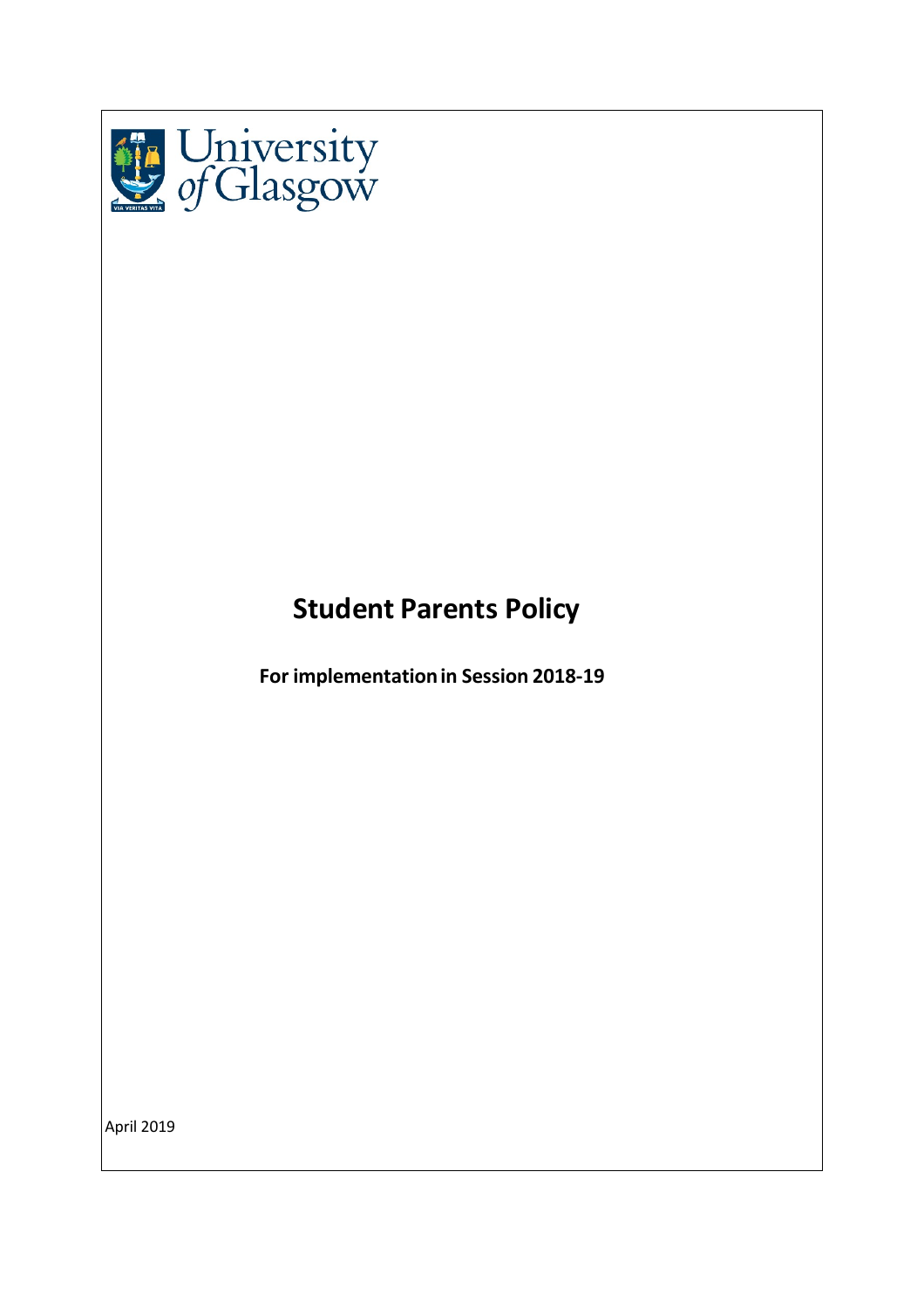

# **Student Parents Policy**

**For implementationin Session 2018-19**

April 2019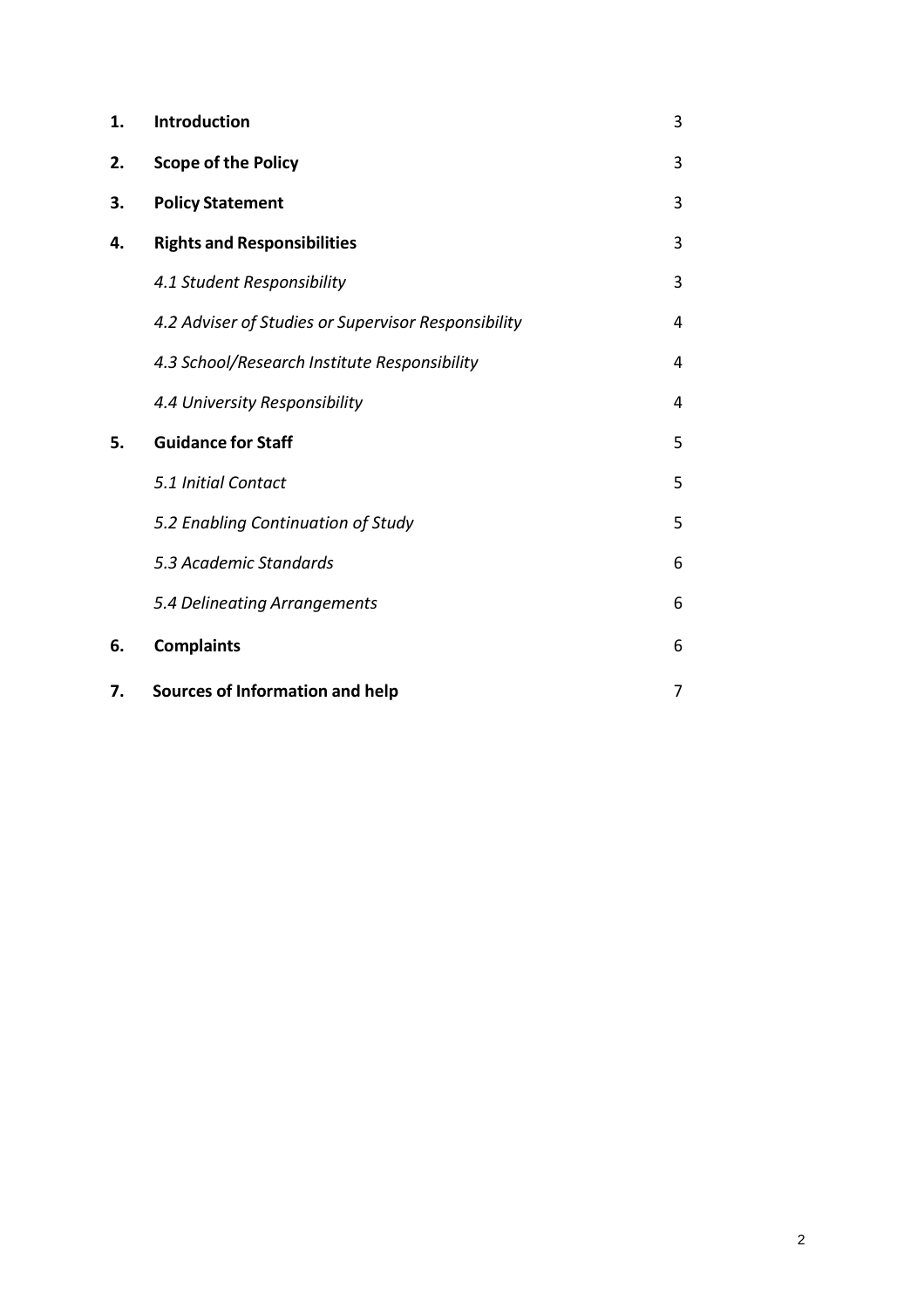| 1. | <b>Introduction</b>                                 | 3 |
|----|-----------------------------------------------------|---|
| 2. | <b>Scope of the Policy</b>                          | 3 |
| 3. | <b>Policy Statement</b>                             | 3 |
| 4. | <b>Rights and Responsibilities</b>                  | 3 |
|    | 4.1 Student Responsibility                          | 3 |
|    | 4.2 Adviser of Studies or Supervisor Responsibility | 4 |
|    | 4.3 School/Research Institute Responsibility        | 4 |
|    | 4.4 University Responsibility                       | 4 |
| 5. | <b>Guidance for Staff</b>                           | 5 |
|    | 5.1 Initial Contact                                 | 5 |
|    | 5.2 Enabling Continuation of Study                  | 5 |
|    | 5.3 Academic Standards                              | 6 |
|    | 5.4 Delineating Arrangements                        | 6 |
| 6. | <b>Complaints</b>                                   | 6 |
| 7. | <b>Sources of Information and help</b>              | 7 |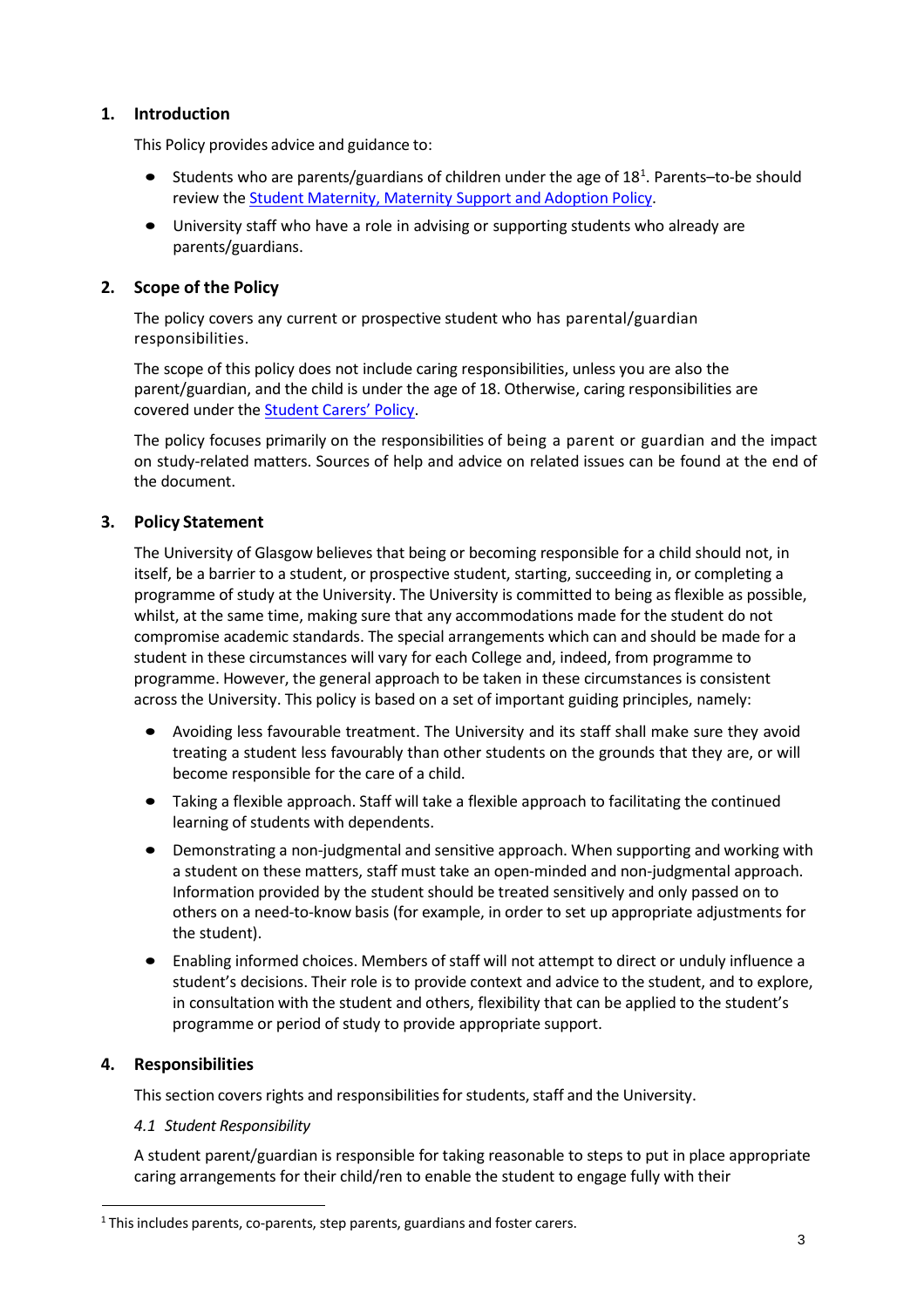# **1. Introduction**

This Policy provides advice and guidance to:

- Students who are parents/guardians of children under the age of 18<sup>1</sup>. Parents-to-be should review the Student [Maternity,](https://www.gla.ac.uk/myglasgow/senateoffice/policies/studentsupport/maternitypolicy/) Maternity Support and Adoption Policy.
- University staff who have a role in advising or supporting students who already are parents/guardians.

# **2. Scope of the Policy**

The policy covers any current or prospective student who has parental/guardian responsibilities.

The scope of this policy does not include caring responsibilities, unless you are also the parent/guardian, and the child is under the age of 18. Otherwise, caring responsibilities are covered under the [Student](https://www.gla.ac.uk/myglasgow/senateoffice/policies/studentsupport/studentcarerspolicy/) Carers' Policy.

The policy focuses primarily on the responsibilities of being a parent or guardian and the impact on study-related matters. Sources of help and advice on related issues can be found at the end of the document.

## **3. Policy Statement**

The University of Glasgow believes that being or becoming responsible for a child should not, in itself, be a barrier to a student, or prospective student, starting, succeeding in, or completing a programme of study at the University. The University is committed to being as flexible as possible, whilst, at the same time, making sure that any accommodations made for the student do not compromise academic standards. The special arrangements which can and should be made for a student in these circumstances will vary for each College and, indeed, from programme to programme. However, the general approach to be taken in these circumstances is consistent across the University. This policy is based on a set of important guiding principles, namely:

- Avoiding less favourable treatment. The University and its staff shall make sure they avoid treating a student less favourably than other students on the grounds that they are, or will become responsible for the care of a child.
- Taking a flexible approach. Staff will take a flexible approach to facilitating the continued learning of students with dependents.
- Demonstrating a non-judgmental and sensitive approach. When supporting and working with a student on these matters, staff must take an open-minded and non-judgmental approach. Information provided by the student should be treated sensitively and only passed on to others on a need-to-know basis (for example, in order to set up appropriate adjustments for the student).
- Enabling informed choices. Members of staff will not attempt to direct or unduly influence a student's decisions. Their role is to provide context and advice to the student, and to explore, in consultation with the student and others, flexibility that can be applied to the student's programme or period of study to provide appropriate support.

## **4. Responsibilities**

This section covers rights and responsibilities for students, staff and the University.

## *4.1 Student Responsibility*

A student parent/guardian is responsible for taking reasonable to steps to put in place appropriate caring arrangements for their child/ren to enable the student to engage fully with their

<span id="page-2-0"></span><sup>&</sup>lt;sup>1</sup> This includes parents, co-parents, step parents, guardians and foster carers.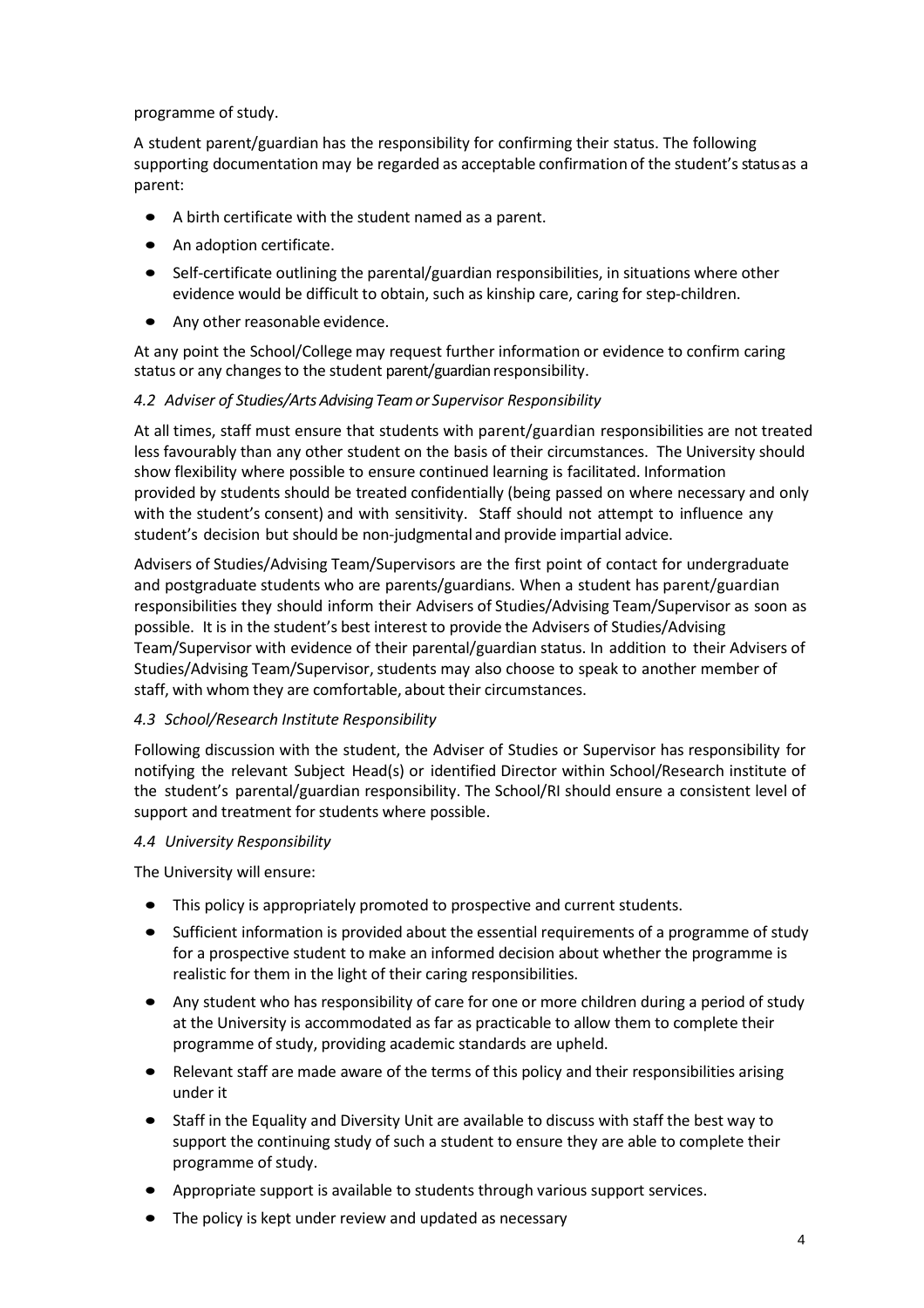#### programme of study.

A student parent/guardian has the responsibility for confirming their status. The following supporting documentation may be regarded as acceptable confirmation of the student's status as a parent:

- A birth certificate with the student named as a parent.
- An adoption certificate.
- Self-certificate outlining the parental/guardian responsibilities, in situations where other evidence would be difficult to obtain, such as kinship care, caring for step-children.
- Any other reasonable evidence.

At any point the School/College may request further information or evidence to confirm caring status or any changes to the student parent/guardian responsibility.

## *4.2 Adviser of Studies/ArtsAdvisingTeamor Supervisor Responsibility*

At all times, staff must ensure that students with parent/guardian responsibilities are not treated less favourably than any other student on the basis of their circumstances. The University should show flexibility where possible to ensure continued learning is facilitated. Information provided by students should be treated confidentially (being passed on where necessary and only with the student's consent) and with sensitivity. Staff should not attempt to influence any student's decision but should be non-judgmental and provide impartial advice.

Advisers of Studies/Advising Team/Supervisors are the first point of contact for undergraduate and postgraduate students who are parents/guardians. When a student has parent/guardian responsibilities they should inform their Advisers of Studies/Advising Team/Supervisor as soon as possible. It is in the student's best interest to provide the Advisers of Studies/Advising Team/Supervisor with evidence of their parental/guardian status. In addition to their Advisers of Studies/Advising Team/Supervisor, students may also choose to speak to another member of staff, with whom they are comfortable, about their circumstances.

## *4.3 School/Research Institute Responsibility*

Following discussion with the student, the Adviser of Studies or Supervisor has responsibility for notifying the relevant Subject Head(s) or identified Director within School/Research institute of the student's parental/guardian responsibility. The School/RI should ensure a consistent level of support and treatment for students where possible.

## *4.4 University Responsibility*

The University will ensure:

- This policy is appropriately promoted to prospective and current students.
- Sufficient information is provided about the essential requirements of a programme of study for a prospective student to make an informed decision about whether the programme is realistic for them in the light of their caring responsibilities.
- Any student who has responsibility of care for one or more children during a period of study at the University is accommodated as far as practicable to allow them to complete their programme of study, providing academic standards are upheld.
- Relevant staff are made aware of the terms of this policy and their responsibilities arising under it
- Staff in the Equality and Diversity Unit are available to discuss with staff the best way to support the continuing study of such a student to ensure they are able to complete their programme of study.
- Appropriate support is available to students through various support services.
- The policy is kept under review and updated as necessary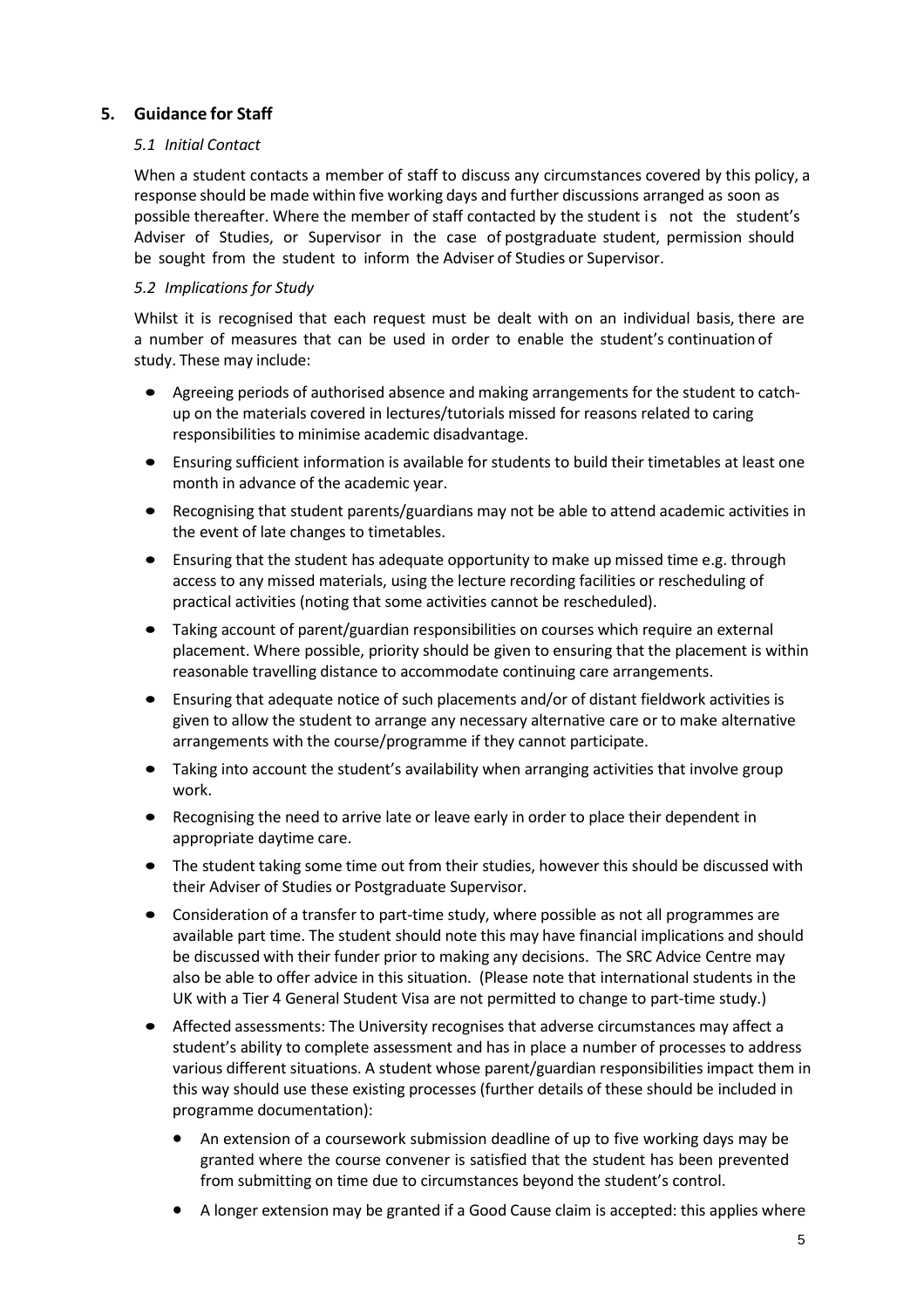## **5. Guidance for Staff**

#### *5.1 Initial Contact*

When a student contacts a member of staff to discuss any circumstances covered by this policy, a response should be made within five working days and further discussions arranged as soon as possible thereafter. Where the member of staff contacted by the student is not the student's Adviser of Studies, or Supervisor in the case of postgraduate student, permission should be sought from the student to inform the Adviser of Studies or Supervisor.

#### *5.2 Implications for Study*

Whilst it is recognised that each request must be dealt with on an individual basis, there are a number of measures that can be used in order to enable the student's continuation of study. These may include:

- Agreeing periods of authorised absence and making arrangements for the student to catchup on the materials covered in lectures/tutorials missed for reasons related to caring responsibilities to minimise academic disadvantage.
- Ensuring sufficient information is available for students to build their timetables at least one month in advance of the academic year.
- Recognising that student parents/guardians may not be able to attend academic activities in the event of late changes to timetables.
- Ensuring that the student has adequate opportunity to make up missed time e.g. through access to any missed materials, using the lecture recording facilities or rescheduling of practical activities (noting that some activities cannot be rescheduled).
- Taking account of parent/guardian responsibilities on courses which require an external placement. Where possible, priority should be given to ensuring that the placement is within reasonable travelling distance to accommodate continuing care arrangements.
- Ensuring that adequate notice of such placements and/or of distant fieldwork activities is given to allow the student to arrange any necessary alternative care or to make alternative arrangements with the course/programme if they cannot participate.
- Taking into account the student's availability when arranging activities that involve group work.
- Recognising the need to arrive late or leave early in order to place their dependent in appropriate daytime care.
- The student taking some time out from their studies, however this should be discussed with their Adviser of Studies or Postgraduate Supervisor.
- Consideration of a transfer to part-time study, where possible as not all programmes are available part time. The student should note this may have financial implications and should be discussed with their funder prior to making any decisions. The SRC Advice Centre may also be able to offer advice in this situation. (Please note that international students in the UK with a Tier 4 General Student Visa are not permitted to change to part-time study.)
- Affected assessments: The University recognises that adverse circumstances may affect a student's ability to complete assessment and has in place a number of processes to address various different situations. A student whose parent/guardian responsibilities impact them in this way should use these existing processes (further details of these should be included in programme documentation):
	- An extension of a coursework submission deadline of up to five working days may be granted where the course convener is satisfied that the student has been prevented from submitting on time due to circumstances beyond the student's control.
	- A longer extension may be granted if a Good Cause claim is accepted: this applies where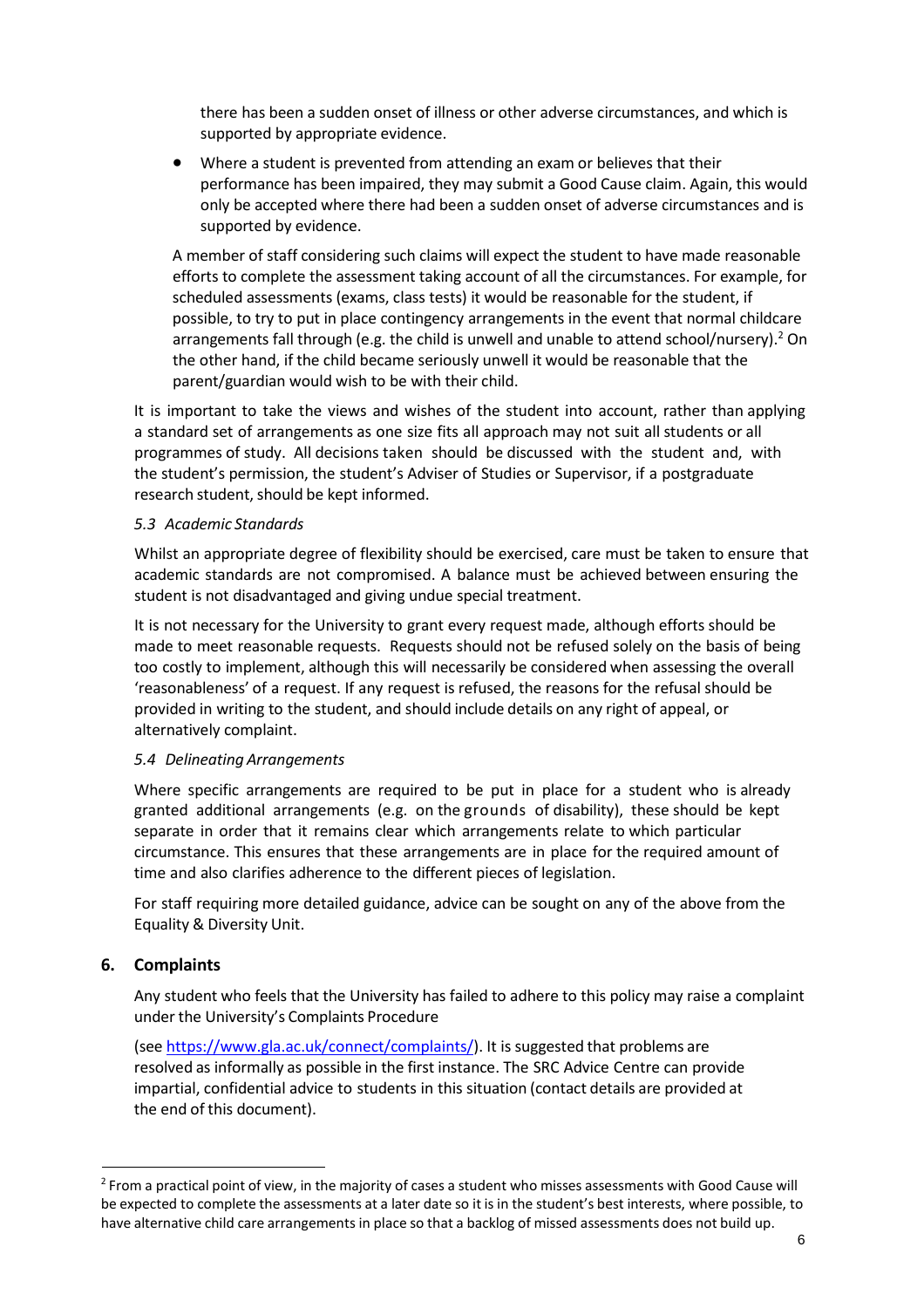there has been a sudden onset of illness or other adverse circumstances, and which is supported by appropriate evidence.

• Where a student is prevented from attending an exam or believes that their performance has been impaired, they may submit a Good Cause claim. Again, this would only be accepted where there had been a sudden onset of adverse circumstances and is supported by evidence.

A member of staff considering such claims will expect the student to have made reasonable efforts to complete the assessment taking account of all the circumstances. For example, for scheduled assessments (exams, class tests) it would be reasonable for the student, if possible, to try to put in place contingency arrangements in the event that normal childcare arrangements fall through (e.g. the child is unwell and unable to attend school/nursery).<sup>2</sup> On the other hand, if the child became seriously unwell it would be reasonable that the parent/guardian would wish to be with their child.

It is important to take the views and wishes of the student into account, rather than applying a standard set of arrangements as one size fits all approach may not suit all students or all programmes of study. All decisions taken should be discussed with the student and, with the student's permission, the student's Adviser of Studies or Supervisor, if a postgraduate research student, should be kept informed.

#### *5.3 Academic Standards*

Whilst an appropriate degree of flexibility should be exercised, care must be taken to ensure that academic standards are not compromised. A balance must be achieved between ensuring the student is not disadvantaged and giving undue special treatment.

It is not necessary for the University to grant every request made, although efforts should be made to meet reasonable requests. Requests should not be refused solely on the basis of being too costly to implement, although this will necessarily be considered when assessing the overall 'reasonableness' of a request. If any request is refused, the reasons for the refusal should be provided in writing to the student, and should include details on any right of appeal, or alternatively complaint.

#### *5.4 Delineating Arrangements*

Where specific arrangements are required to be put in place for a student who is already granted additional arrangements (e.g. on the grounds of disability), these should be kept separate in order that it remains clear which arrangements relate to which particular circumstance. This ensures that these arrangements are in place for the required amount of time and also clarifies adherence to the different pieces of legislation.

For staff requiring more detailed guidance, advice can be sought on any of the above from the Equality & Diversity Unit.

#### **6. Complaints**

Any student who feels that the University has failed to adhere to this policy may raise a complaint under the University's Complaints Procedure

(see [https://www.gla.ac.uk/connect/complaints/\)](https://www.gla.ac.uk/connect/complaints/). It is suggested that problems are resolved as informally as possible in the first instance. The SRC Advice Centre can provide impartial, confidential advice to students in this situation (contact details are provided at the end of this document).

<span id="page-5-0"></span><sup>&</sup>lt;sup>2</sup> From a practical point of view, in the majority of cases a student who misses assessments with Good Cause will be expected to complete the assessments at a later date so it is in the student's best interests, where possible, to have alternative child care arrangements in place so that a backlog of missed assessments does not build up.